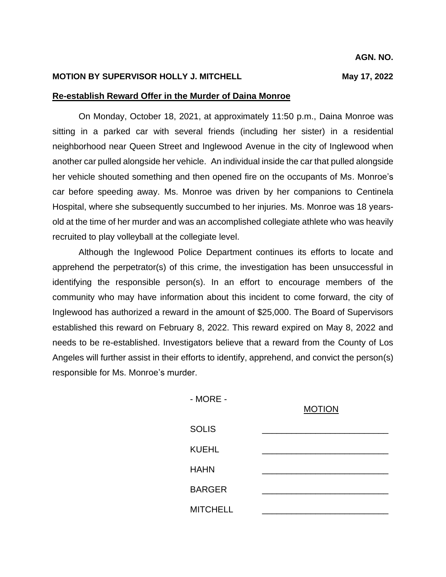## **MOTION BY SUPERVISOR HOLLY J. MITCHELL May 17, 2022**

## **Re-establish Reward Offer in the Murder of Daina Monroe**

On Monday, October 18, 2021, at approximately 11:50 p.m., Daina Monroe was sitting in a parked car with several friends (including her sister) in a residential neighborhood near Queen Street and Inglewood Avenue in the city of Inglewood when another car pulled alongside her vehicle. An individual inside the car that pulled alongside her vehicle shouted something and then opened fire on the occupants of Ms. Monroe's car before speeding away. Ms. Monroe was driven by her companions to Centinela Hospital, where she subsequently succumbed to her injuries. Ms. Monroe was 18 yearsold at the time of her murder and was an accomplished collegiate athlete who was heavily recruited to play volleyball at the collegiate level.

Although the Inglewood Police Department continues its efforts to locate and apprehend the perpetrator(s) of this crime, the investigation has been unsuccessful in identifying the responsible person(s). In an effort to encourage members of the community who may have information about this incident to come forward, the city of Inglewood has authorized a reward in the amount of \$25,000. The Board of Supervisors established this reward on February 8, 2022. This reward expired on May 8, 2022 and needs to be re-established. Investigators believe that a reward from the County of Los Angeles will further assist in their efforts to identify, apprehend, and convict the person(s) responsible for Ms. Monroe's murder.

> - MORE - MOTION SOLIS KUEHL HAHN BARGER \_\_\_\_\_\_\_\_\_\_\_\_\_\_\_\_\_\_\_\_\_\_\_\_\_\_ **MITCHELL**